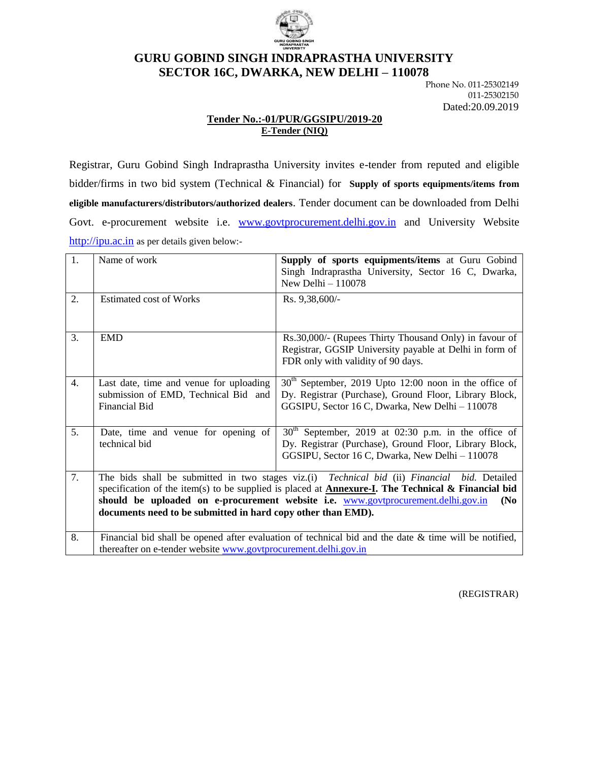

# **GURU GOBIND SINGH INDRAPRASTHA UNIVERSITY SECTOR 16C, DWARKA, NEW DELHI – 110078**

Phone No. 011-25302149 011-25302150 Dated:20.09.2019

# **Tender No.:-01/PUR/GGSIPU/2019-20 E-Tender (NIQ)**

Registrar, Guru Gobind Singh Indraprastha University invites e-tender from reputed and eligible bidder/firms in two bid system (Technical & Financial) for **Supply of sports equipments/items from eligible manufacturers/distributors/authorized dealers**. Tender document can be downloaded from Delhi Govt. e-procurement website i.e. [www.govtprocurement.delhi.gov.in](http://www.govtprocurement.delhi..gov.in/) and University Website [http://ipu.ac.in](http://ipu.ac.in/) as per details given below:-

| 1.               | Name of work                                                                                                                                                                                                                                                                                                                                                                                        | Supply of sports equipments/items at Guru Gobind<br>Singh Indraprastha University, Sector 16 C, Dwarka,<br>New Delhi $-110078$                                                  |  |  |  |
|------------------|-----------------------------------------------------------------------------------------------------------------------------------------------------------------------------------------------------------------------------------------------------------------------------------------------------------------------------------------------------------------------------------------------------|---------------------------------------------------------------------------------------------------------------------------------------------------------------------------------|--|--|--|
| 2.               | <b>Estimated cost of Works</b>                                                                                                                                                                                                                                                                                                                                                                      | Rs. 9,38,600/                                                                                                                                                                   |  |  |  |
| 3.               | <b>EMD</b>                                                                                                                                                                                                                                                                                                                                                                                          | Rs.30,000/- (Rupees Thirty Thousand Only) in favour of<br>Registrar, GGSIP University payable at Delhi in form of<br>FDR only with validity of 90 days.                         |  |  |  |
| $\overline{4}$ . | Last date, time and venue for uploading<br>submission of EMD, Technical Bid and<br>Financial Bid                                                                                                                                                                                                                                                                                                    | $30th$ September, 2019 Upto 12:00 noon in the office of<br>Dy. Registrar (Purchase), Ground Floor, Library Block,<br>GGSIPU, Sector 16 C, Dwarka, New Delhi - 110078            |  |  |  |
| 5.               | Date, time and venue for opening of<br>technical bid                                                                                                                                                                                                                                                                                                                                                | 30 <sup>th</sup><br>September, 2019 at 02:30 p.m. in the office of<br>Dy. Registrar (Purchase), Ground Floor, Library Block,<br>GGSIPU, Sector 16 C, Dwarka, New Delhi - 110078 |  |  |  |
| 7.               | The bids shall be submitted in two stages viz.(i) <i>Technical bid</i> (ii) <i>Financial bid</i> . Detailed<br>specification of the item(s) to be supplied is placed at <b>Annexure-I</b> . The Technical & Financial bid<br>should be uploaded on e-procurement website i.e. www.govtprocurement.delhi.gov.in<br>(N <sub>0</sub> )<br>documents need to be submitted in hard copy other than EMD). |                                                                                                                                                                                 |  |  |  |
| 8.               | Financial bid shall be opened after evaluation of technical bid and the date $\&$ time will be notified,<br>thereafter on e-tender website www.govtprocurement.delhi.gov.in                                                                                                                                                                                                                         |                                                                                                                                                                                 |  |  |  |

(REGISTRAR)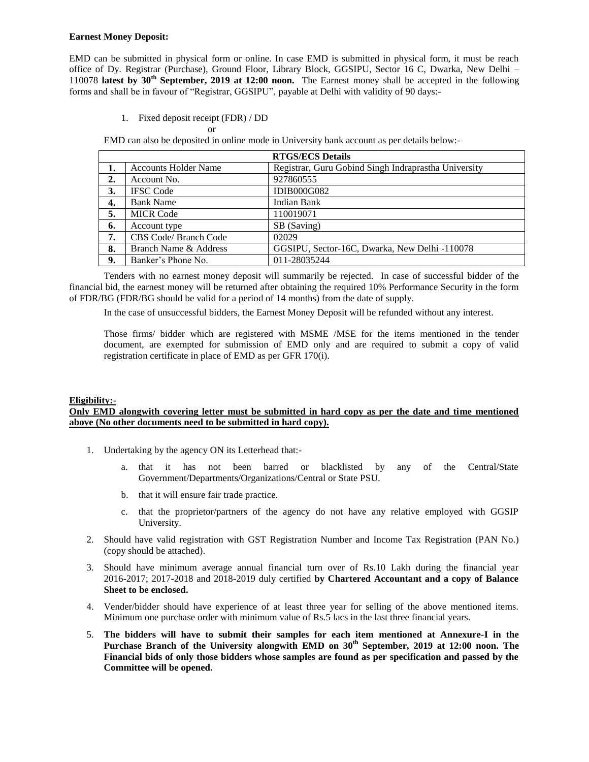#### **Earnest Money Deposit:**

EMD can be submitted in physical form or online. In case EMD is submitted in physical form, it must be reach office of Dy. Registrar (Purchase), Ground Floor, Library Block, GGSIPU, Sector 16 C, Dwarka, New Delhi – 110078 **latest by 30th September, 2019 at 12:00 noon.** The Earnest money shall be accepted in the following forms and shall be in favour of "Registrar, GGSIPU", payable at Delhi with validity of 90 days:-

1. Fixed deposit receipt (FDR) / DD

or

EMD can also be deposited in online mode in University bank account as per details below:-

|    | <b>RTGS/ECS Details</b>     |                                                      |  |  |  |
|----|-----------------------------|------------------------------------------------------|--|--|--|
| 1. | <b>Accounts Holder Name</b> | Registrar, Guru Gobind Singh Indraprastha University |  |  |  |
| 2. | Account No.                 | 927860555                                            |  |  |  |
| 3. | <b>IFSC</b> Code            | <b>IDIB000G082</b>                                   |  |  |  |
| 4. | <b>Bank Name</b>            | Indian Bank                                          |  |  |  |
| 5. | <b>MICR Code</b>            | 110019071                                            |  |  |  |
| 6. | Account type                | SB (Saving)                                          |  |  |  |
| 7. | CBS Code/ Branch Code       | 02029                                                |  |  |  |
| 8. | Branch Name & Address       | GGSIPU, Sector-16C, Dwarka, New Delhi -110078        |  |  |  |
| 9. | Banker's Phone No.          | 011-28035244                                         |  |  |  |

Tenders with no earnest money deposit will summarily be rejected. In case of successful bidder of the financial bid, the earnest money will be returned after obtaining the required 10% Performance Security in the form of FDR/BG (FDR/BG should be valid for a period of 14 months) from the date of supply.

In the case of unsuccessful bidders, the Earnest Money Deposit will be refunded without any interest.

Those firms/ bidder which are registered with MSME /MSE for the items mentioned in the tender document, are exempted for submission of EMD only and are required to submit a copy of valid registration certificate in place of EMD as per GFR 170(i).

#### **Eligibility:-**

#### **Only EMD alongwith covering letter must be submitted in hard copy as per the date and time mentioned above (No other documents need to be submitted in hard copy).**

- 1. Undertaking by the agency ON its Letterhead that:
	- a. that it has not been barred or blacklisted by any of the Central/State Government/Departments/Organizations/Central or State PSU.
	- b. that it will ensure fair trade practice.
	- c. that the proprietor/partners of the agency do not have any relative employed with GGSIP University.
- 2. Should have valid registration with GST Registration Number and Income Tax Registration (PAN No.) (copy should be attached).
- 3. Should have minimum average annual financial turn over of Rs.10 Lakh during the financial year 2016-2017; 2017-2018 and 2018-2019 duly certified **by Chartered Accountant and a copy of Balance Sheet to be enclosed.**
- 4. Vender/bidder should have experience of at least three year for selling of the above mentioned items. Minimum one purchase order with minimum value of Rs.5 lacs in the last three financial years.
- 5. **The bidders will have to submit their samples for each item mentioned at Annexure-I in the Purchase Branch of the University alongwith EMD on 30th September, 2019 at 12:00 noon. The Financial bids of only those bidders whose samples are found as per specification and passed by the Committee will be opened.**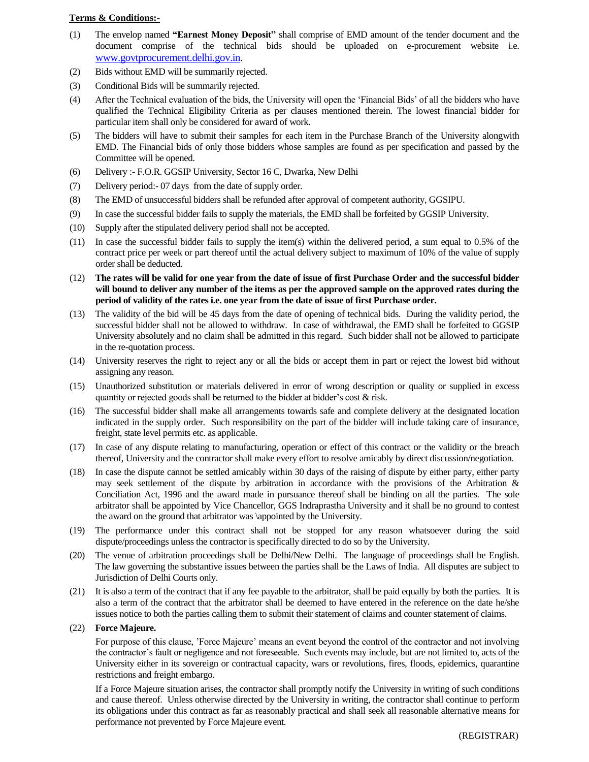#### **Terms & Conditions:-**

- (1) The envelop named **"Earnest Money Deposit"** shall comprise of EMD amount of the tender document and the document comprise of the technical bids should be uploaded on e-procurement website i.e. [www.govtprocurement.delhi.gov.in.](http://www.govtprocurement.delhi..gov.in/)
- (2) Bids without EMD will be summarily rejected.
- (3) Conditional Bids will be summarily rejected.
- (4) After the Technical evaluation of the bids, the University will open the "Financial Bids" of all the bidders who have qualified the Technical Eligibility Criteria as per clauses mentioned therein. The lowest financial bidder for particular item shall only be considered for award of work.
- (5) The bidders will have to submit their samples for each item in the Purchase Branch of the University alongwith EMD. The Financial bids of only those bidders whose samples are found as per specification and passed by the Committee will be opened.
- (6) Delivery :- F.O.R. GGSIP University, Sector 16 C, Dwarka, New Delhi
- (7) Delivery period:- 07 days from the date of supply order.
- (8) The EMD of unsuccessful bidders shall be refunded after approval of competent authority, GGSIPU.
- (9) In case the successful bidder fails to supply the materials, the EMD shall be forfeited by GGSIP University.
- (10) Supply after the stipulated delivery period shall not be accepted.
- (11) In case the successful bidder fails to supply the item(s) within the delivered period, a sum equal to 0.5% of the contract price per week or part thereof until the actual delivery subject to maximum of 10% of the value of supply order shall be deducted.
- (12) **The rates will be valid for one year from the date of issue of first Purchase Order and the successful bidder will bound to deliver any number of the items as per the approved sample on the approved rates during the period of validity of the rates i.e. one year from the date of issue of first Purchase order.**
- (13) The validity of the bid will be 45 days from the date of opening of technical bids. During the validity period, the successful bidder shall not be allowed to withdraw. In case of withdrawal, the EMD shall be forfeited to GGSIP University absolutely and no claim shall be admitted in this regard. Such bidder shall not be allowed to participate in the re-quotation process.
- (14) University reserves the right to reject any or all the bids or accept them in part or reject the lowest bid without assigning any reason.
- (15) Unauthorized substitution or materials delivered in error of wrong description or quality or supplied in excess quantity or rejected goods shall be returned to the bidder at bidder"s cost & risk.
- (16) The successful bidder shall make all arrangements towards safe and complete delivery at the designated location indicated in the supply order. Such responsibility on the part of the bidder will include taking care of insurance, freight, state level permits etc. as applicable.
- (17) In case of any dispute relating to manufacturing, operation or effect of this contract or the validity or the breach thereof, University and the contractor shall make every effort to resolve amicably by direct discussion/negotiation.
- (18) In case the dispute cannot be settled amicably within 30 days of the raising of dispute by either party, either party may seek settlement of the dispute by arbitration in accordance with the provisions of the Arbitration & Conciliation Act, 1996 and the award made in pursuance thereof shall be binding on all the parties. The sole arbitrator shall be appointed by Vice Chancellor, GGS Indraprastha University and it shall be no ground to contest the award on the ground that arbitrator was \appointed by the University.
- (19) The performance under this contract shall not be stopped for any reason whatsoever during the said dispute/proceedings unless the contractor is specifically directed to do so by the University.
- (20) The venue of arbitration proceedings shall be Delhi/New Delhi. The language of proceedings shall be English. The law governing the substantive issues between the parties shall be the Laws of India. All disputes are subject to Jurisdiction of Delhi Courts only.
- (21) It is also a term of the contract that if any fee payable to the arbitrator, shall be paid equally by both the parties. It is also a term of the contract that the arbitrator shall be deemed to have entered in the reference on the date he/she issues notice to both the parties calling them to submit their statement of claims and counter statement of claims.

#### (22) **Force Majeure.**

For purpose of this clause, "Force Majeure" means an event beyond the control of the contractor and not involving the contractor"s fault or negligence and not foreseeable. Such events may include, but are not limited to, acts of the University either in its sovereign or contractual capacity, wars or revolutions, fires, floods, epidemics, quarantine restrictions and freight embargo.

If a Force Majeure situation arises, the contractor shall promptly notify the University in writing of such conditions and cause thereof. Unless otherwise directed by the University in writing, the contractor shall continue to perform its obligations under this contract as far as reasonably practical and shall seek all reasonable alternative means for performance not prevented by Force Majeure event.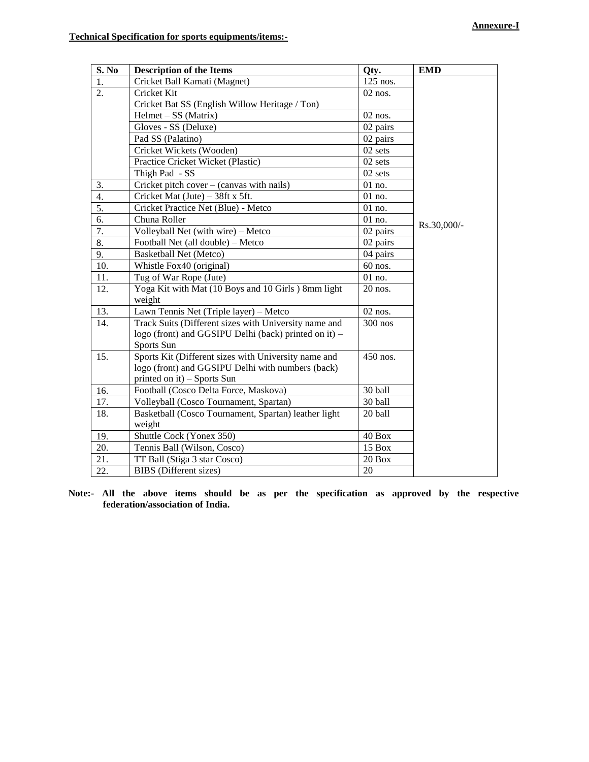| <b>S. No</b>     | <b>Description of the Items</b>                       | Qty.      | <b>EMD</b>  |
|------------------|-------------------------------------------------------|-----------|-------------|
| 1.               | Cricket Ball Kamati (Magnet)                          | 125 nos.  |             |
| 2.               | Cricket Kit                                           | $02$ nos. |             |
|                  | Cricket Bat SS (English Willow Heritage / Ton)        |           |             |
|                  | $Helmet - SS (Matrix)$                                | $02$ nos. |             |
|                  | $\overline{\text{Gloves - SS}}$ (Deluxe)              | 02 pairs  |             |
|                  | Pad SS (Palatino)                                     | 02 pairs  |             |
|                  | Cricket Wickets (Wooden)                              | 02 sets   |             |
|                  | Practice Cricket Wicket (Plastic)                     | 02 sets   |             |
|                  | Thigh Pad - SS                                        | 02 sets   |             |
| 3.               | Cricket pitch cover - (canvas with nails)             | 01 no.    |             |
| 4.               | Cricket Mat (Jute) - 38ft x 5ft.                      | 01 no.    |             |
| $\overline{5}$ . | Cricket Practice Net (Blue) - Metco                   | 01 no.    |             |
| 6.               | Chuna Roller                                          | 01 no.    |             |
| 7.               | Volleyball Net (with wire) - Metco                    | 02 pairs  | Rs.30,000/- |
| $\overline{8}$ . | Football Net (all double) - Metco                     | 02 pairs  |             |
| 9.               | <b>Basketball Net (Metco)</b>                         | 04 pairs  |             |
| 10.              | Whistle Fox40 (original)                              | 60 nos.   |             |
| 11.              | Tug of War Rope (Jute)                                | 01 no.    |             |
| 12.              | Yoga Kit with Mat (10 Boys and 10 Girls) 8mm light    | 20 nos.   |             |
|                  | weight                                                |           |             |
| 13.              | Lawn Tennis Net (Triple layer) - Metco                | 02 nos.   |             |
| 14.              | Track Suits (Different sizes with University name and | 300 nos   |             |
|                  | logo (front) and GGSIPU Delhi (back) printed on it) – |           |             |
|                  | Sports Sun                                            |           |             |
| 15.              | Sports Kit (Different sizes with University name and  | 450 nos.  |             |
|                  | logo (front) and GGSIPU Delhi with numbers (back)     |           |             |
|                  | printed on it) - Sports Sun                           |           |             |
| 16.              | Football (Cosco Delta Force, Maskova)                 | 30 ball   |             |
| 17.              | Volleyball (Cosco Tournament, Spartan)                | 30 ball   |             |
| 18.              | Basketball (Cosco Tournament, Spartan) leather light  | 20 ball   |             |
|                  | weight                                                |           |             |
| 19.              | Shuttle Cock (Yonex 350)                              | 40 Box    |             |
| 20.              | Tennis Ball (Wilson, Cosco)                           | 15 Box    |             |
| 21.              | TT Ball (Stiga 3 star Cosco)                          | 20 Box    |             |
| 22.              | <b>BIBS</b> (Different sizes)                         | 20        |             |

**Note:- All the above items should be as per the specification as approved by the respective federation/association of India.**